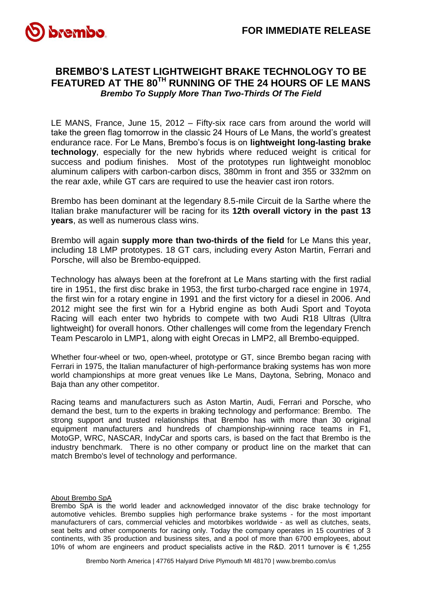

## **BREMBO'S LATEST LIGHTWEIGHT BRAKE TECHNOLOGY TO BE FEATURED AT THE 80TH RUNNING OF THE 24 HOURS OF LE MANS** *Brembo To Supply More Than Two-Thirds Of The Field*

LE MANS, France, June 15, 2012 – Fifty-six race cars from around the world will take the green flag tomorrow in the classic 24 Hours of Le Mans, the world's greatest endurance race. For Le Mans, Brembo's focus is on **lightweight long-lasting brake technology**, especially for the new hybrids where reduced weight is critical for success and podium finishes. Most of the prototypes run lightweight monobloc aluminum calipers with carbon-carbon discs, 380mm in front and 355 or 332mm on the rear axle, while GT cars are required to use the heavier cast iron rotors.

Brembo has been dominant at the legendary 8.5-mile Circuit de la Sarthe where the Italian brake manufacturer will be racing for its **12th overall victory in the past 13 years**, as well as numerous class wins.

Brembo will again **supply more than two-thirds of the field** for Le Mans this year, including 18 LMP prototypes. 18 GT cars, including every Aston Martin, Ferrari and Porsche, will also be Brembo-equipped.

Technology has always been at the forefront at Le Mans starting with the first radial tire in 1951, the first disc brake in 1953, the first turbo-charged race engine in 1974, the first win for a rotary engine in 1991 and the first victory for a diesel in 2006. And 2012 might see the first win for a Hybrid engine as both Audi Sport and Toyota Racing will each enter two hybrids to compete with two Audi R18 Ultras (Ultra lightweight) for overall honors. Other challenges will come from the legendary French Team Pescarolo in LMP1, along with eight Orecas in LMP2, all Brembo-equipped.

Whether four-wheel or two, open-wheel, prototype or GT, since Brembo began racing with Ferrari in 1975, the Italian manufacturer of high-performance braking systems has won more world championships at more great venues like Le Mans, Daytona, Sebring, Monaco and Baja than any other competitor.

Racing teams and manufacturers such as Aston Martin, Audi, Ferrari and Porsche, who demand the best, turn to the experts in braking technology and performance: Brembo. The strong support and trusted relationships that Brembo has with more than 30 original equipment manufacturers and hundreds of championship-winning race teams in F1, MotoGP, WRC, NASCAR, IndyCar and sports cars, is based on the fact that Brembo is the industry benchmark. There is no other company or product line on the market that can match Brembo's level of technology and performance.

## About Brembo SpA

Brembo SpA is the world leader and acknowledged innovator of the disc brake technology for automotive vehicles. Brembo supplies high performance brake systems - for the most important manufacturers of cars, commercial vehicles and motorbikes worldwide - as well as clutches, seats, seat belts and other components for racing only. Today the company operates in 15 countries of 3 continents, with 35 production and business sites, and a pool of more than 6700 employees, about 10% of whom are engineers and product specialists active in the R&D. 2011 turnover is € 1,255